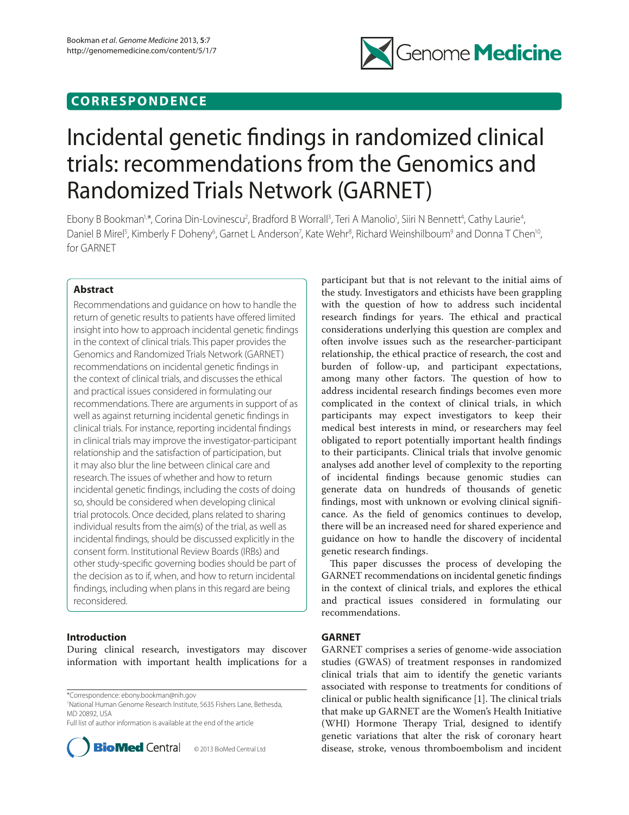# **CO R R E S P O N D E N C E**



# Incidental genetic findings in randomized clinical trials: recommendations from the Genomics and Randomized Trials Network (GARNET)

Ebony B Bookman<sup>1,\*</sup>, Corina Din-Lovinescu<sup>2</sup>, Bradford B Worrall<sup>3</sup>, Teri A Manolio<sup>1</sup>, Siiri N Bennett<sup>4</sup>, Cathy Laurie<sup>4</sup>, Daniel B Mirel<sup>5</sup>, Kimberly F Doheny<sup>6</sup>, Garnet L Anderson<sup>7</sup>, Kate Wehr<sup>8</sup>, Richard Weinshilboum<sup>9</sup> and Donna T Chen<sup>10</sup>, for GARNET

# **Abstract**

Recommendations and guidance on how to handle the return of genetic results to patients have offered limited insight into how to approach incidental genetic findings in the context of clinical trials. This paper provides the Genomics and Randomized Trials Network (GARNET) recommendations on incidental genetic findings in the context of clinical trials, and discusses the ethical and practical issues considered in formulating our recommendations. There are arguments in support of as well as against returning incidental genetic findings in clinical trials. For instance, reporting incidental findings in clinical trials may improve the investigator-participant relationship and the satisfaction of participation, but it may also blur the line between clinical care and research. The issues of whether and how to return incidental genetic findings, including the costs of doing so, should be considered when developing clinical trial protocols. Once decided, plans related to sharing individual results from the aim(s) of the trial, as well as incidental findings, should be discussed explicitly in the consent form. Institutional Review Boards (IRBs) and other study-specific governing bodies should be part of the decision as to if, when, and how to return incidental findings, including when plans in this regard are being reconsidered.

# **Introduction**

During clinical research, investigators may discover information with important health implications for a

\*Correspondence: ebony.bookman@nih.gov

1 National Human Genome Research Institute, 5635 Fishers Lane, Bethesda, MD 20892, USA

Full list of author information is available at the end of the article



© 2013 BioMed Central Ltd

participant but that is not relevant to the initial aims of the study. Investigators and ethicists have been grappling with the question of how to address such incidental research findings for years. The ethical and practical considerations underlying this question are complex and often involve issues such as the researcher-participant relationship, the ethical practice of research, the cost and burden of follow-up, and participant expectations, among many other factors. The question of how to address incidental research findings becomes even more complicated in the context of clinical trials, in which participants may expect investigators to keep their medical best interests in mind, or researchers may feel obligated to report potentially important health findings to their participants. Clinical trials that involve genomic analyses add another level of complexity to the reporting of incidental findings because genomic studies can generate data on hundreds of thousands of genetic findings, most with unknown or evolving clinical significance. As the field of genomics continues to develop, there will be an increased need for shared experience and guidance on how to handle the discovery of incidental genetic research findings.

This paper discusses the process of developing the GARNET recommendations on incidental genetic findings in the context of clinical trials, and explores the ethical and practical issues considered in formulating our recommendations.

# **GARNET**

GARNET comprises a series of genome-wide association studies (GWAS) of treatment responses in randomized clinical trials that aim to identify the genetic variants associated with response to treatments for conditions of clinical or public health significance [1]. The clinical trials that make up GARNET are the Women's Health Initiative (WHI) Hormone Therapy Trial, designed to identify genetic variations that alter the risk of coronary heart disease, stroke, venous thromboembolism and incident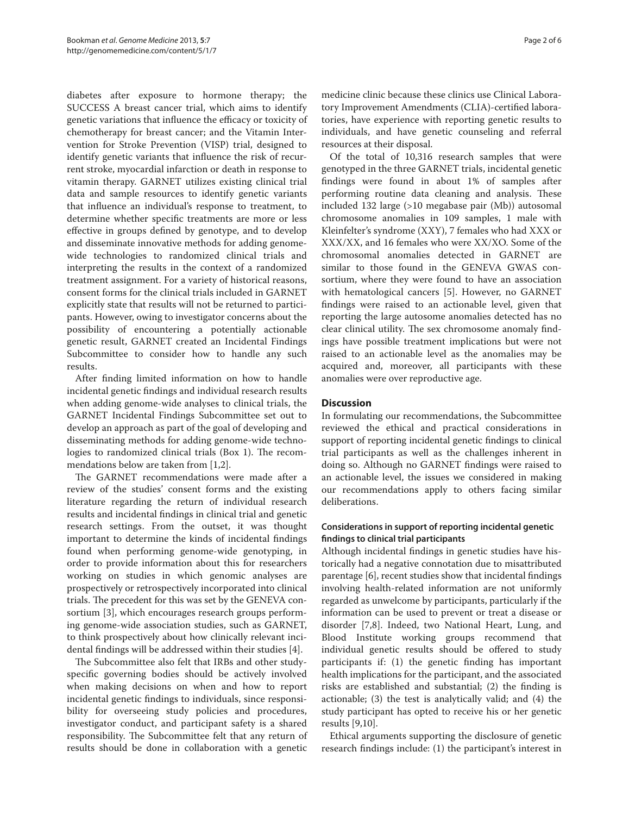diabetes after exposure to hormone therapy; the SUCCESS A breast cancer trial, which aims to identify genetic variations that influence the efficacy or toxicity of chemotherapy for breast cancer; and the Vitamin Intervention for Stroke Prevention (VISP) trial, designed to identify genetic variants that influence the risk of recurrent stroke, myocardial infarction or death in response to vitamin therapy. GARNET utilizes existing clinical trial data and sample resources to identify genetic variants that influence an individual's response to treatment, to determine whether specific treatments are more or less effective in groups defined by genotype, and to develop and disseminate innovative methods for adding genomewide technologies to randomized clinical trials and interpreting the results in the context of a randomized treatment assignment. For a variety of historical reasons, consent forms for the clinical trials included in GARNET explicitly state that results will not be returned to participants. However, owing to investigator concerns about the possibility of encountering a potentially actionable genetic result, GARNET created an Incidental Findings Subcommittee to consider how to handle any such results.

After finding limited information on how to handle incidental genetic findings and individual research results when adding genome-wide analyses to clinical trials, the GARNET Incidental Findings Subcommittee set out to develop an approach as part of the goal of developing and disseminating methods for adding genome-wide technologies to randomized clinical trials (Box 1). The recommendations below are taken from [1,2].

The GARNET recommendations were made after a review of the studies' consent forms and the existing literature regarding the return of individual research results and incidental findings in clinical trial and genetic research settings. From the outset, it was thought important to determine the kinds of incidental findings found when performing genome-wide genotyping, in order to provide information about this for researchers working on studies in which genomic analyses are prospectively or retrospectively incorporated into clinical trials. The precedent for this was set by the GENEVA consortium [3], which encourages research groups performing genome-wide association studies, such as GARNET, to think prospectively about how clinically relevant incidental findings will be addressed within their studies [4].

The Subcommittee also felt that IRBs and other studyspecific governing bodies should be actively involved when making decisions on when and how to report incidental genetic findings to individuals, since responsibility for overseeing study policies and procedures, investigator conduct, and participant safety is a shared responsibility. The Subcommittee felt that any return of results should be done in collaboration with a genetic

medicine clinic because these clinics use Clinical Laboratory Improvement Amendments (CLIA)-certified laboratories, have experience with reporting genetic results to individuals, and have genetic counseling and referral resources at their disposal.

Of the total of 10,316 research samples that were genotyped in the three GARNET trials, incidental genetic findings were found in about 1% of samples after performing routine data cleaning and analysis. These included 132 large (>10 megabase pair (Mb)) autosomal chromosome anomalies in 109 samples, 1 male with Kleinfelter's syndrome (XXY), 7 females who had XXX or XXX/XX, and 16 females who were XX/XO. Some of the chromosomal anomalies detected in GARNET are similar to those found in the GENEVA GWAS consortium, where they were found to have an association with hematological cancers [5]. However, no GARNET findings were raised to an actionable level, given that reporting the large autosome anomalies detected has no clear clinical utility. The sex chromosome anomaly findings have possible treatment implications but were not raised to an actionable level as the anomalies may be acquired and, moreover, all participants with these anomalies were over reproductive age.

## **Discussion**

In formulating our recommendations, the Subcommittee reviewed the ethical and practical considerations in support of reporting incidental genetic findings to clinical trial participants as well as the challenges inherent in doing so. Although no GARNET findings were raised to an actionable level, the issues we considered in making our recommendations apply to others facing similar deliberations.

# **Considerations in support of reporting incidental genetic findings to clinical trial participants**

Although incidental findings in genetic studies have historically had a negative connotation due to misattributed parentage [6], recent studies show that incidental findings involving health-related information are not uniformly regarded as unwelcome by participants, particularly if the information can be used to prevent or treat a disease or disorder [7,8]. Indeed, two National Heart, Lung, and Blood Institute working groups recommend that individual genetic results should be offered to study participants if: (1) the genetic finding has important health implications for the participant, and the associated risks are established and substantial; (2) the finding is actionable; (3) the test is analytically valid; and (4) the study participant has opted to receive his or her genetic results [9,10].

Ethical arguments supporting the disclosure of genetic research findings include: (1) the participant's interest in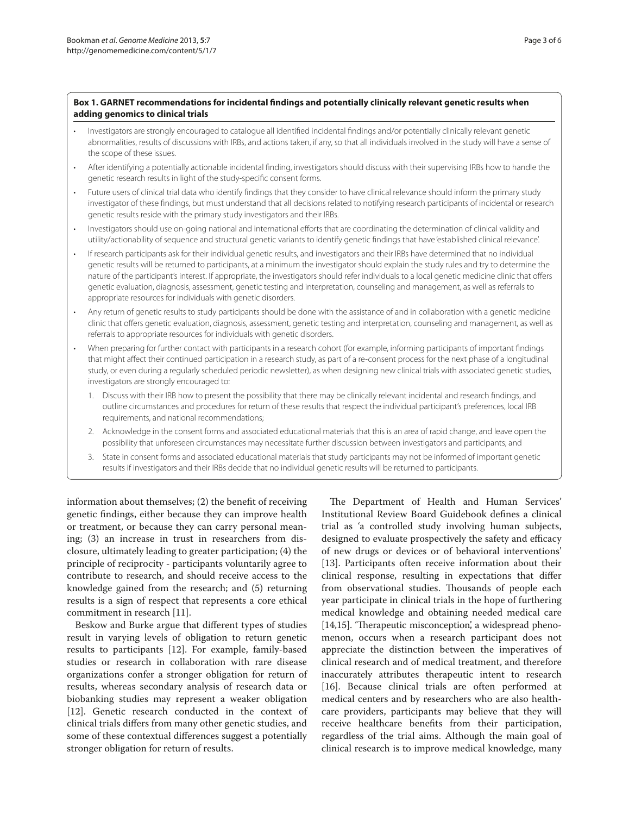#### **Box 1. GARNET recommendations for incidental findings and potentially clinically relevant genetic results when adding genomics to clinical trials**

- Investigators are strongly encouraged to catalogue all identified incidental findings and/or potentially clinically relevant genetic abnormalities, results of discussions with IRBs, and actions taken, if any, so that all individuals involved in the study will have a sense of the scope of these issues.
- After identifying a potentially actionable incidental finding, investigators should discuss with their supervising IRBs how to handle the genetic research results in light of the study-specific consent forms.
- Future users of clinical trial data who identify findings that they consider to have clinical relevance should inform the primary study investigator of these findings, but must understand that all decisions related to notifying research participants of incidental or research genetic results reside with the primary study investigators and their IRBs.
- Investigators should use on-going national and international efforts that are coordinating the determination of clinical validity and utility/actionability of sequence and structural genetic variants to identify genetic findings that have 'established clinical relevance'.
- If research participants ask for their individual genetic results, and investigators and their IRBs have determined that no individual genetic results will be returned to participants, at a minimum the investigator should explain the study rules and try to determine the nature of the participant's interest. If appropriate, the investigators should refer individuals to a local genetic medicine clinic that offers genetic evaluation, diagnosis, assessment, genetic testing and interpretation, counseling and management, as well as referrals to appropriate resources for individuals with genetic disorders.
- Any return of genetic results to study participants should be done with the assistance of and in collaboration with a genetic medicine clinic that offers genetic evaluation, diagnosis, assessment, genetic testing and interpretation, counseling and management, as well as referrals to appropriate resources for individuals with genetic disorders.
- When preparing for further contact with participants in a research cohort (for example, informing participants of important findings that might affect their continued participation in a research study, as part of a re-consent process for the next phase of a longitudinal study, or even during a regularly scheduled periodic newsletter), as when designing new clinical trials with associated genetic studies, investigators are strongly encouraged to:
	- 1. Discuss with their IRB how to present the possibility that there may be clinically relevant incidental and research findings, and outline circumstances and procedures for return of these results that respect the individual participant's preferences, local IRB requirements, and national recommendations;
	- 2. Acknowledge in the consent forms and associated educational materials that this is an area of rapid change, and leave open the possibility that unforeseen circumstances may necessitate further discussion between investigators and participants; and
	- 3. State in consent forms and associated educational materials that study participants may not be informed of important genetic results if investigators and their IRBs decide that no individual genetic results will be returned to participants.

information about themselves; (2) the benefit of receiving genetic findings, either because they can improve health or treatment, or because they can carry personal meaning; (3) an increase in trust in researchers from disclosure, ultimately leading to greater participation; (4) the principle of reciprocity - participants voluntarily agree to contribute to research, and should receive access to the knowledge gained from the research; and (5) returning results is a sign of respect that represents a core ethical commitment in research [11].

Beskow and Burke argue that different types of studies result in varying levels of obligation to return genetic results to participants [12]. For example, family-based studies or research in collaboration with rare disease organizations confer a stronger obligation for return of results, whereas secondary analysis of research data or biobanking studies may represent a weaker obligation [12]. Genetic research conducted in the context of clinical trials differs from many other genetic studies, and some of these contextual differences suggest a potentially stronger obligation for return of results.

The Department of Health and Human Services' Institutional Review Board Guidebook defines a clinical trial as 'a controlled study involving human subjects, designed to evaluate prospectively the safety and efficacy of new drugs or devices or of behavioral interventions' [13]. Participants often receive information about their clinical response, resulting in expectations that differ from observational studies. Thousands of people each year participate in clinical trials in the hope of furthering medical knowledge and obtaining needed medical care [14,15]. 'Therapeutic misconception', a widespread phenomenon, occurs when a research participant does not appreciate the distinction between the imperatives of clinical research and of medical treatment, and therefore inaccurately attributes therapeutic intent to research [16]. Because clinical trials are often performed at medical centers and by researchers who are also healthcare providers, participants may believe that they will receive healthcare benefits from their participation, regardless of the trial aims. Although the main goal of clinical research is to improve medical knowledge, many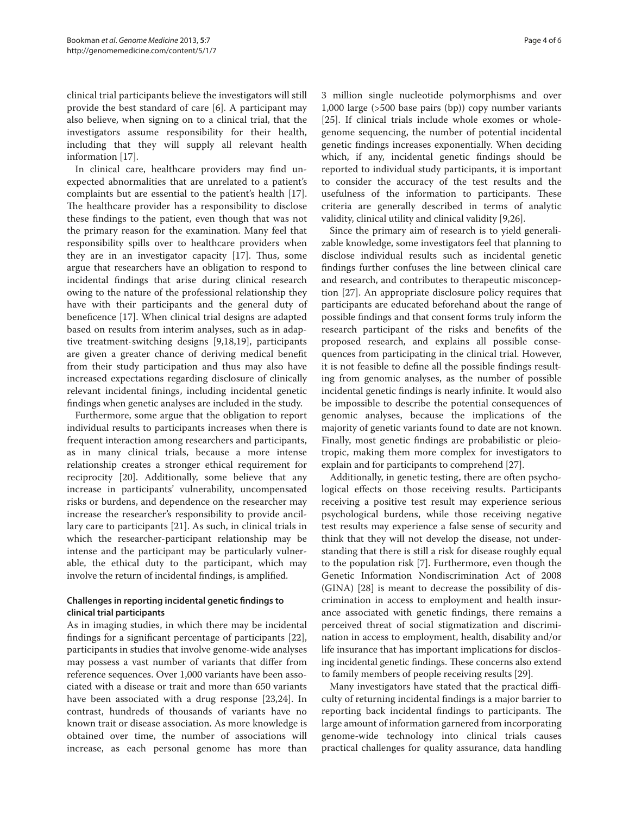clinical trial participants believe the investigators will still provide the best standard of care [6]. A participant may also believe, when signing on to a clinical trial, that the investigators assume responsibility for their health, including that they will supply all relevant health information [17].

In clinical care, healthcare providers may find unexpected abnormalities that are unrelated to a patient's complaints but are essential to the patient's health [17]. The healthcare provider has a responsibility to disclose these findings to the patient, even though that was not the primary reason for the examination. Many feel that responsibility spills over to healthcare providers when they are in an investigator capacity [17]. Thus, some argue that researchers have an obligation to respond to incidental findings that arise during clinical research owing to the nature of the professional relationship they have with their participants and the general duty of beneficence [17]. When clinical trial designs are adapted based on results from interim analyses, such as in adaptive treatment-switching designs [9,18,19], participants are given a greater chance of deriving medical benefit from their study participation and thus may also have increased expectations regarding disclosure of clinically relevant incidental finings, including incidental genetic findings when genetic analyses are included in the study.

Furthermore, some argue that the obligation to report individual results to participants increases when there is frequent interaction among researchers and participants, as in many clinical trials, because a more intense relationship creates a stronger ethical requirement for reciprocity [20]. Additionally, some believe that any increase in participants' vulnerability, uncompensated risks or burdens, and dependence on the researcher may increase the researcher's responsibility to provide ancillary care to participants [21]. As such, in clinical trials in which the researcher-participant relationship may be intense and the participant may be particularly vulnerable, the ethical duty to the participant, which may involve the return of incidental findings, is amplified.

# **Challenges in reporting incidental genetic findings to clinical trial participants**

As in imaging studies, in which there may be incidental findings for a significant percentage of participants [22], participants in studies that involve genome-wide analyses may possess a vast number of variants that differ from reference sequences. Over 1,000 variants have been associated with a disease or trait and more than 650 variants have been associated with a drug response [23,24]. In contrast, hundreds of thousands of variants have no known trait or disease association. As more knowledge is obtained over time, the number of associations will increase, as each personal genome has more than 3 million single nucleotide polymorphisms and over 1,000 large (>500 base pairs (bp)) copy number variants [25]. If clinical trials include whole exomes or wholegenome sequencing, the number of potential incidental genetic findings increases exponentially. When deciding which, if any, incidental genetic findings should be reported to individual study participants, it is important to consider the accuracy of the test results and the usefulness of the information to participants. These criteria are generally described in terms of analytic validity, clinical utility and clinical validity [9,26].

Since the primary aim of research is to yield generalizable knowledge, some investigators feel that planning to disclose individual results such as incidental genetic findings further confuses the line between clinical care and research, and contributes to therapeutic misconception [27]. An appropriate disclosure policy requires that participants are educated beforehand about the range of possible findings and that consent forms truly inform the research participant of the risks and benefits of the proposed research, and explains all possible consequences from participating in the clinical trial. However, it is not feasible to define all the possible findings resulting from genomic analyses, as the number of possible incidental genetic findings is nearly infinite. It would also be impossible to describe the potential consequences of genomic analyses, because the implications of the majority of genetic variants found to date are not known. Finally, most genetic findings are probabilistic or pleiotropic, making them more complex for investigators to explain and for participants to comprehend [27].

Additionally, in genetic testing, there are often psychological effects on those receiving results. Participants receiving a positive test result may experience serious psychological burdens, while those receiving negative test results may experience a false sense of security and think that they will not develop the disease, not understanding that there is still a risk for disease roughly equal to the population risk [7]. Furthermore, even though the Genetic Information Nondiscrimination Act of 2008 (GINA) [28] is meant to decrease the possibility of discrimination in access to employment and health insurance associated with genetic findings, there remains a perceived threat of social stigmatization and discrimination in access to employment, health, disability and/or life insurance that has important implications for disclosing incidental genetic findings. These concerns also extend to family members of people receiving results [29].

Many investigators have stated that the practical difficulty of returning incidental findings is a major barrier to reporting back incidental findings to participants. The large amount of information garnered from incorporating genome-wide technology into clinical trials causes practical challenges for quality assurance, data handling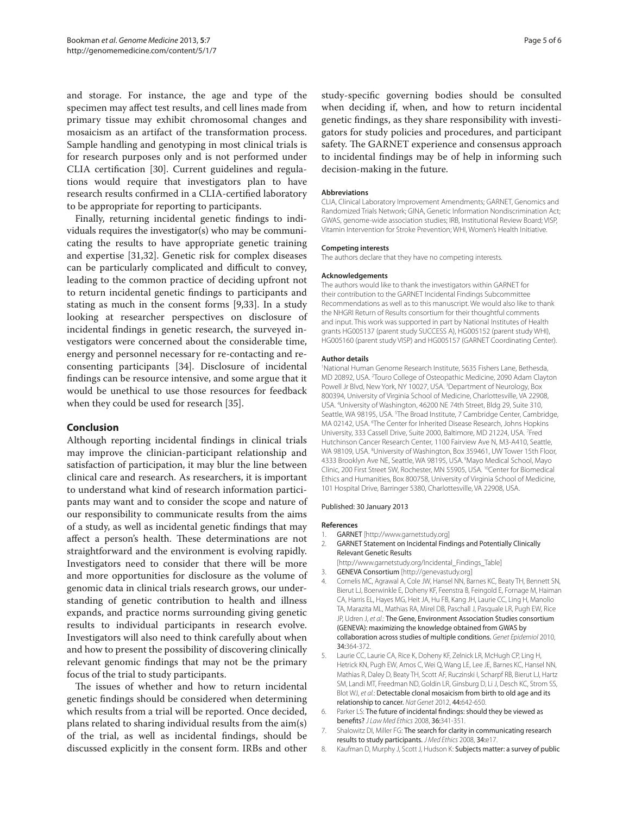and storage. For instance, the age and type of the specimen may affect test results, and cell lines made from primary tissue may exhibit chromosomal changes and mosaicism as an artifact of the transformation process. Sample handling and genotyping in most clinical trials is for research purposes only and is not performed under CLIA certification [30]. Current guidelines and regulations would require that investigators plan to have research results confirmed in a CLIA-certified laboratory to be appropriate for reporting to participants.

Finally, returning incidental genetic findings to individuals requires the investigator(s) who may be communicating the results to have appropriate genetic training and expertise [31,32]. Genetic risk for complex diseases can be particularly complicated and difficult to convey, leading to the common practice of deciding upfront not to return incidental genetic findings to participants and stating as much in the consent forms [9,33]. In a study looking at researcher perspectives on disclosure of incidental findings in genetic research, the surveyed investigators were concerned about the considerable time, energy and personnel necessary for re-contacting and reconsenting participants [34]. Disclosure of incidental findings can be resource intensive, and some argue that it would be unethical to use those resources for feedback when they could be used for research [35].

## **Conclusion**

Although reporting incidental findings in clinical trials may improve the clinician-participant relationship and satisfaction of participation, it may blur the line between clinical care and research. As researchers, it is important to understand what kind of research information participants may want and to consider the scope and nature of our responsibility to communicate results from the aims of a study, as well as incidental genetic findings that may affect a person's health. These determinations are not straightforward and the environment is evolving rapidly. Investigators need to consider that there will be more and more opportunities for disclosure as the volume of genomic data in clinical trials research grows, our understanding of genetic contribution to health and illness expands, and practice norms surrounding giving genetic results to individual participants in research evolve. Investigators will also need to think carefully about when and how to present the possibility of discovering clinically relevant genomic findings that may not be the primary focus of the trial to study participants.

The issues of whether and how to return incidental genetic findings should be considered when determining which results from a trial will be reported. Once decided, plans related to sharing individual results from the aim(s) of the trial, as well as incidental findings, should be discussed explicitly in the consent form. IRBs and other study-specific governing bodies should be consulted when deciding if, when, and how to return incidental genetic findings, as they share responsibility with investigators for study policies and procedures, and participant safety. The GARNET experience and consensus approach to incidental findings may be of help in informing such decision-making in the future.

#### **Abbreviations**

CLIA, Clinical Laboratory Improvement Amendments; GARNET, Genomics and Randomized Trials Network; GINA, Genetic Information Nondiscrimination Act; GWAS, genome-wide association studies; IRB, Institutional Review Board; VISP, Vitamin Intervention for Stroke Prevention; WHI, Women's Health Initiative.

#### **Competing interests**

The authors declare that they have no competing interests.

#### **Acknowledgements**

The authors would like to thank the investigators within GARNET for their contribution to the GARNET Incidental Findings Subcommittee Recommendations as well as to this manuscript. We would also like to thank the NHGRI Return of Results consortium for their thoughtful comments and input. This work was supported in part by National Institutes of Health grants HG005137 (parent study SUCCESS A), HG005152 (parent study WHI), HG005160 (parent study VISP) and HG005157 (GARNET Coordinating Center).

#### **Author details**

1 National Human Genome Research Institute, 5635 Fishers Lane, Bethesda, MD 20892, USA. 2 Touro College of Osteopathic Medicine, 2090 Adam Clayton Powell Jr Blvd, New York, NY 10027, USA. <sup>3</sup>Department of Neurology, Box 800394, University of Virginia School of Medicine, Charlottesville, VA 22908, USA. 4 University of Washington, 46200 NE 74th Street, Bldg 29, Suite 310, Seattle, WA 98195, USA. <sup>5</sup>The Broad Institute, 7 Cambridge Center, Cambridge, MA 02142, USA. <sup>6</sup>The Center for Inherited Disease Research, Johns Hopkins University, 333 Cassell Drive, Suite 2000, Baltimore, MD 21224, USA. 7 Fred Hutchinson Cancer Research Center, 1100 Fairview Ave N, M3-A410, Seattle, WA 98109, USA. <sup>8</sup>University of Washington, Box 359461, UW Tower 15th Floor, 4333 Brooklyn Ave NE, Seattle, WA 98195, USA. 9Mayo Medical School, Mayo Clinic, 200 First Street SW, Rochester, MN 55905, USA. <sup>10</sup>Center for Biomedical Ethics and Humanities, Box 800758, University of Virginia School of Medicine, 101 Hospital Drive, Barringer 5380, Charlottesville, VA 22908, USA.

#### Published: 30 January 2013

#### **References**

- 1. **GARNET** [http://www.garnetstudy.org]<br>2. **GARNET Statement on Incidental Find**
- 2. GARNET Statement on Incidental Findings and Potentially Clinically Relevant Genetic Results
- [http://www.garnetstudy.org/Incidental\_Findings\_Table] 3. GENEVA Consortium [http://genevastudy.org]
- Cornelis MC, Agrawal A, Cole JW, Hansel NN, Barnes KC, Beaty TH, Bennett SN, Bierut LJ, Boerwinkle E, Doheny KF, Feenstra B, Feingold E, Fornage M, Haiman CA, Harris EL, Hayes MG, Heit JA, Hu FB, Kang JH, Laurie CC, Ling H, Manolio TA, Marazita ML, Mathias RA, Mirel DB, Paschall J, Pasquale LR, Pugh EW, Rice JP, Udren J, *et al.*: The Gene, Environment Association Studies consortium (GENEVA): maximizing the knowledge obtained from GWAS by collaboration across studies of multiple conditions. *Genet Epidemiol* 2010, 34:364-372.
- 5. Laurie CC, Laurie CA, Rice K, Doheny KF, Zelnick LR, McHugh CP, Ling H, Hetrick KN, Pugh EW, Amos C, Wei Q, Wang LE, Lee JE, Barnes KC, Hansel NN, Mathias R, Daley D, Beaty TH, Scott AF, Ruczinski I, Scharpf RB, Bierut LJ, Hartz SM, Landi MT, Freedman ND, Goldin LR, Ginsburg D, Li J, Desch KC, Strom SS, Blot WJ, *et al.*: Detectable clonal mosaicism from birth to old age and its relationship to cancer. *Nat Genet* 2012, 44:642-650.
- 6. Parker LS: The future of incidental findings: should they be viewed as benefits? *J Law Med Ethics* 2008, 36:341-351.
- 7. Shalowitz DI, Miller FG: The search for clarity in communicating research results to study participants. *J Med Ethics* 2008, 34:e17.
- 8. Kaufman D, Murphy J, Scott J, Hudson K: Subjects matter: a survey of public